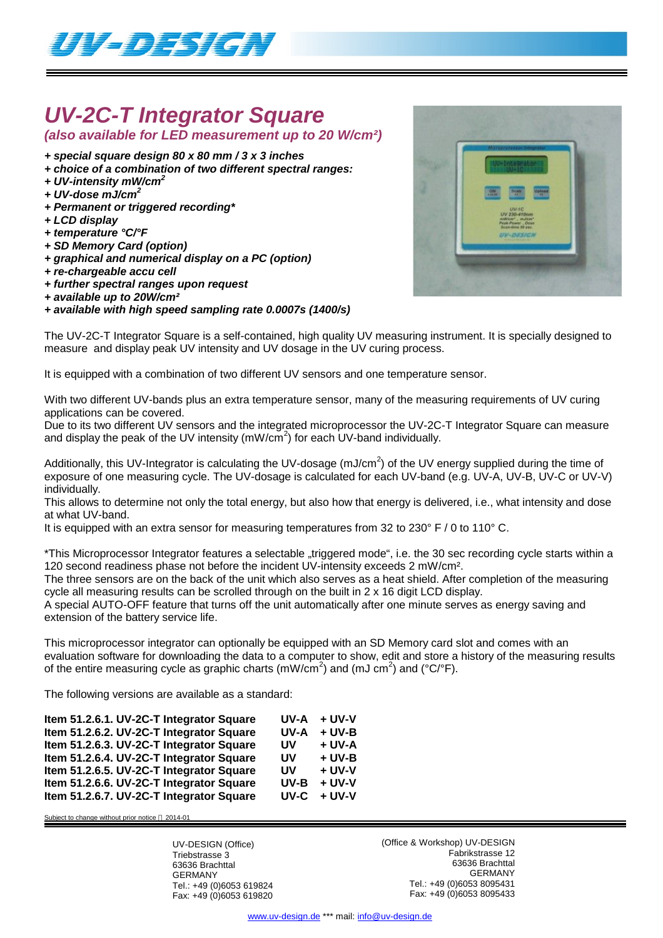

# *UV-2C-T Integrator Square*

*(also available for LED measurement up to 20 W/cm²)*

- *+ special square design 80 x 80 mm / 3 x 3 inches*
- *+ choice of a combination of two different spectral ranges:*
- *+ UV-intensity mW/cm<sup>2</sup>*
- *+ UV-dose mJ/cm<sup>2</sup>*
- *+ Permanent or triggered recording\**
- *+ LCD display*
- *+ temperature °C/°F*
- *+ SD Memory Card (option)*
- *+ graphical and numerical display on a PC (option)*
- *+ re-chargeable accu cell*
- *+ further spectral ranges upon request*
- *+ available up to 20W/cm²*
- *+ available with high speed sampling rate 0.0007s (1400/s)*

The UV-2C-T Integrator Square is a self-contained, high quality UV measuring instrument. It is specially designed to measure and display peak UV intensity and UV dosage in the UV curing process.

It is equipped with a combination of two different UV sensors and one temperature sensor.

With two different UV-bands plus an extra temperature sensor, many of the measuring requirements of UV curing applications can be covered.

Due to its two different UV sensors and the integrated microprocessor the UV-2C-T Integrator Square can measure and display the peak of the UV intensity (mW/cm<sup>2</sup>) for each UV-band individually.

Additionally, this UV-Integrator is calculating the UV-dosage (mJ/cm<sup>2</sup>) of the UV energy supplied during the time of exposure of one measuring cycle. The UV-dosage is calculated for each UV-band (e.g. UV-A, UV-B, UV-C or UV-V) individually.

This allows to determine not only the total energy, but also how that energy is delivered, i.e., what intensity and dose at what UV-band.

It is equipped with an extra sensor for measuring temperatures from 32 to 230° F / 0 to 110° C.

\*This Microprocessor Integrator features a selectable "triggered mode", i.e. the 30 sec recording cycle starts within a 120 second readiness phase not before the incident UV-intensity exceeds 2 mW/cm².

The three sensors are on the back of the unit which also serves as a heat shield. After completion of the measuring cycle all measuring results can be scrolled through on the built in 2 x 16 digit LCD display.

A special AUTO-OFF feature that turns off the unit automatically after one minute serves as energy saving and extension of the battery service life.

This microprocessor integrator can optionally be equipped with an SD Memory card slot and comes with an evaluation software for downloading the data to a computer to show, edit and store a history of the measuring results of the entire measuring cycle as graphic charts (mW/cm<sup>2</sup>) and (mJ cm<sup>2</sup>) and (°C/°F).

The following versions are available as a standard:

| Item 51.2.6.1. UV-2C-T Integrator Square | UV-A | + UV-V   |
|------------------------------------------|------|----------|
| Item 51.2.6.2. UV-2C-T Integrator Square | UV-A | $+$ UV-B |
| Item 51.2.6.3. UV-2C-T Integrator Square | UV   | $+ UV-A$ |
| Item 51.2.6.4. UV-2C-T Integrator Square | UV   | $+ UV-B$ |
| Item 51.2.6.5. UV-2C-T Integrator Square | UV   | $+$ UV-V |
| Item 51.2.6.6. UV-2C-T Integrator Square | UV-B | $+$ UV-V |
| Item 51.2.6.7. UV-2C-T Integrator Square | UV-C | $+$ UV-V |

Subject to change without prior notice © 2014-01

UV-DESIGN (Office) Triebstrasse 3 63636 Brachttal GERMANY Tel.: +49 (0)6053 619824 Fax: +49 (0)6053 619820 (Office & Workshop) UV-DESIGN Fabrikstrasse 12 63636 Brachttal GERMANY Tel.: +49 (0)6053 8095431 Fax: +49 (0)6053 8095433

www.uv-design.de \*\*\* mail: info@uv-design.de